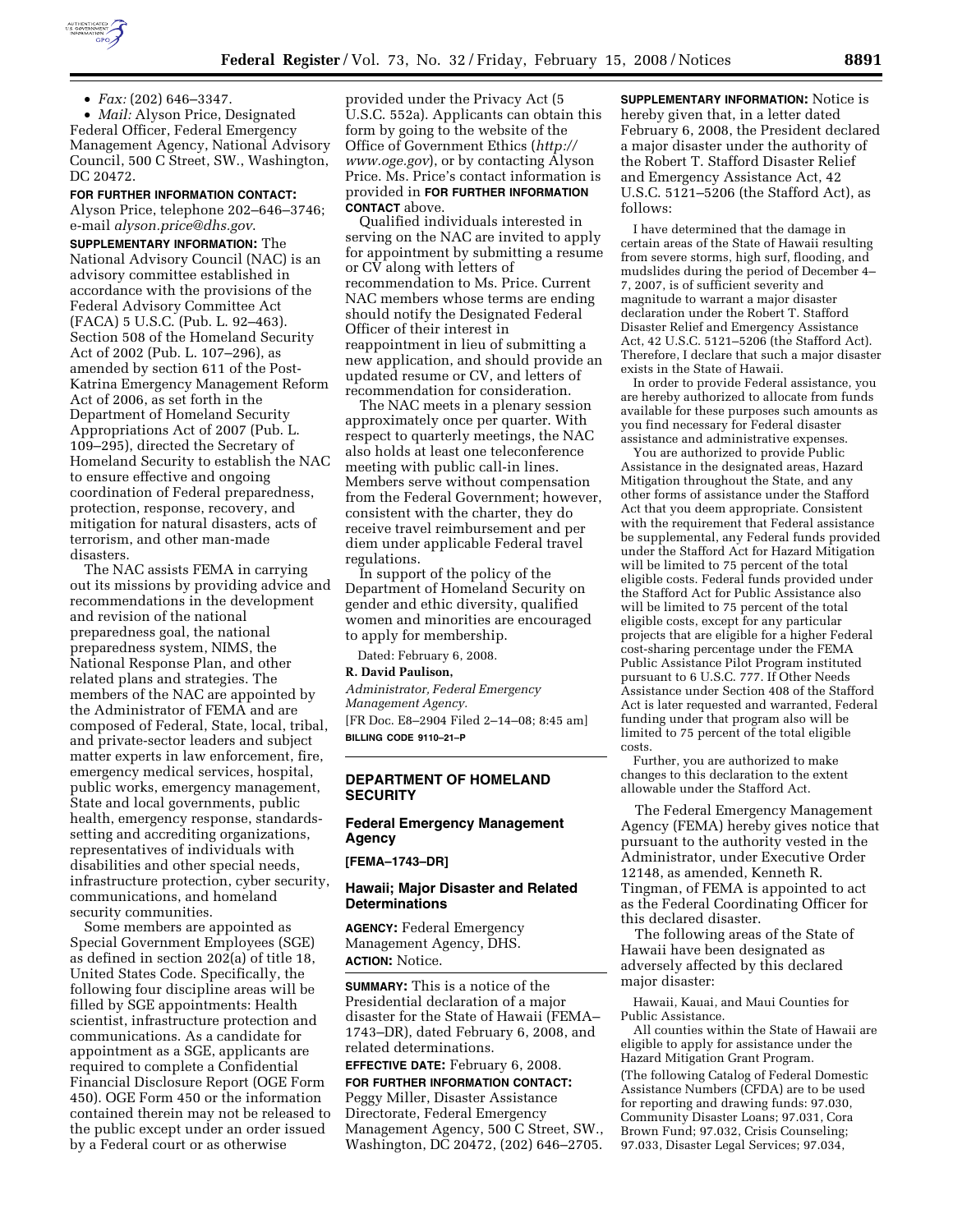

• *Fax:* (202) 646–3347.

• *Mail:* Alyson Price, Designated Federal Officer, Federal Emergency Management Agency, National Advisory Council, 500 C Street, SW., Washington, DC 20472.

**FOR FURTHER INFORMATION CONTACT:**  Alyson Price, telephone 202–646–3746; e-mail *alyson.price@dhs.gov*.

**SUPPLEMENTARY INFORMATION:** The National Advisory Council (NAC) is an advisory committee established in accordance with the provisions of the Federal Advisory Committee Act (FACA) 5 U.S.C. (Pub. L. 92–463). Section 508 of the Homeland Security Act of 2002 (Pub. L. 107–296), as amended by section 611 of the Post-Katrina Emergency Management Reform Act of 2006, as set forth in the Department of Homeland Security Appropriations Act of 2007 (Pub. L. 109–295), directed the Secretary of Homeland Security to establish the NAC to ensure effective and ongoing coordination of Federal preparedness, protection, response, recovery, and mitigation for natural disasters, acts of terrorism, and other man-made disasters.

The NAC assists FEMA in carrying out its missions by providing advice and recommendations in the development and revision of the national preparedness goal, the national preparedness system, NIMS, the National Response Plan, and other related plans and strategies. The members of the NAC are appointed by the Administrator of FEMA and are composed of Federal, State, local, tribal, and private-sector leaders and subject matter experts in law enforcement, fire, emergency medical services, hospital, public works, emergency management, State and local governments, public health, emergency response, standardssetting and accrediting organizations, representatives of individuals with disabilities and other special needs, infrastructure protection, cyber security, communications, and homeland security communities.

Some members are appointed as Special Government Employees (SGE) as defined in section 202(a) of title 18, United States Code. Specifically, the following four discipline areas will be filled by SGE appointments: Health scientist, infrastructure protection and communications. As a candidate for appointment as a SGE, applicants are required to complete a Confidential Financial Disclosure Report (OGE Form 450). OGE Form 450 or the information contained therein may not be released to the public except under an order issued by a Federal court or as otherwise

provided under the Privacy Act (5 U.S.C. 552a). Applicants can obtain this form by going to the website of the Office of Government Ethics (*http:// www.oge.gov*), or by contacting Alyson Price. Ms. Price's contact information is provided in **FOR FURTHER INFORMATION CONTACT** above.

Qualified individuals interested in serving on the NAC are invited to apply for appointment by submitting a resume or CV along with letters of recommendation to Ms. Price. Current NAC members whose terms are ending should notify the Designated Federal Officer of their interest in reappointment in lieu of submitting a new application, and should provide an updated resume or CV, and letters of recommendation for consideration.

The NAC meets in a plenary session approximately once per quarter. With respect to quarterly meetings, the NAC also holds at least one teleconference meeting with public call-in lines. Members serve without compensation from the Federal Government; however, consistent with the charter, they do receive travel reimbursement and per diem under applicable Federal travel regulations.

In support of the policy of the Department of Homeland Security on gender and ethic diversity, qualified women and minorities are encouraged to apply for membership.

Dated: February 6, 2008.

#### **R. David Paulison,**

*Administrator, Federal Emergency Management Agency.*  [FR Doc. E8–2904 Filed 2–14–08; 8:45 am] **BILLING CODE 9110–21–P** 

### **DEPARTMENT OF HOMELAND SECURITY**

# **Federal Emergency Management Agency**

**[FEMA–1743–DR]** 

# **Hawaii; Major Disaster and Related Determinations**

**AGENCY:** Federal Emergency Management Agency, DHS. **ACTION:** Notice.

**SUMMARY:** This is a notice of the Presidential declaration of a major disaster for the State of Hawaii (FEMA– 1743–DR), dated February 6, 2008, and related determinations.

**EFFECTIVE DATE:** February 6, 2008.

**FOR FURTHER INFORMATION CONTACT:**  Peggy Miller, Disaster Assistance Directorate, Federal Emergency Management Agency, 500 C Street, SW., Washington, DC 20472, (202) 646–2705. **SUPPLEMENTARY INFORMATION:** Notice is hereby given that, in a letter dated February 6, 2008, the President declared a major disaster under the authority of the Robert T. Stafford Disaster Relief and Emergency Assistance Act, 42 U.S.C. 5121–5206 (the Stafford Act), as follows:

I have determined that the damage in certain areas of the State of Hawaii resulting from severe storms, high surf, flooding, and mudslides during the period of December 4– 7, 2007, is of sufficient severity and magnitude to warrant a major disaster declaration under the Robert T. Stafford Disaster Relief and Emergency Assistance Act, 42 U.S.C. 5121–5206 (the Stafford Act). Therefore, I declare that such a major disaster exists in the State of Hawaii.

In order to provide Federal assistance, you are hereby authorized to allocate from funds available for these purposes such amounts as you find necessary for Federal disaster assistance and administrative expenses.

You are authorized to provide Public Assistance in the designated areas, Hazard Mitigation throughout the State, and any other forms of assistance under the Stafford Act that you deem appropriate. Consistent with the requirement that Federal assistance be supplemental, any Federal funds provided under the Stafford Act for Hazard Mitigation will be limited to 75 percent of the total eligible costs. Federal funds provided under the Stafford Act for Public Assistance also will be limited to 75 percent of the total eligible costs, except for any particular projects that are eligible for a higher Federal cost-sharing percentage under the FEMA Public Assistance Pilot Program instituted pursuant to 6 U.S.C. 777. If Other Needs Assistance under Section 408 of the Stafford Act is later requested and warranted, Federal funding under that program also will be limited to 75 percent of the total eligible costs.

Further, you are authorized to make changes to this declaration to the extent allowable under the Stafford Act.

The Federal Emergency Management Agency (FEMA) hereby gives notice that pursuant to the authority vested in the Administrator, under Executive Order 12148, as amended, Kenneth R. Tingman, of FEMA is appointed to act as the Federal Coordinating Officer for this declared disaster.

The following areas of the State of Hawaii have been designated as adversely affected by this declared major disaster:

Hawaii, Kauai, and Maui Counties for Public Assistance.

All counties within the State of Hawaii are eligible to apply for assistance under the Hazard Mitigation Grant Program. (The following Catalog of Federal Domestic Assistance Numbers (CFDA) are to be used for reporting and drawing funds: 97.030, Community Disaster Loans; 97.031, Cora Brown Fund; 97.032, Crisis Counseling; 97.033, Disaster Legal Services; 97.034,